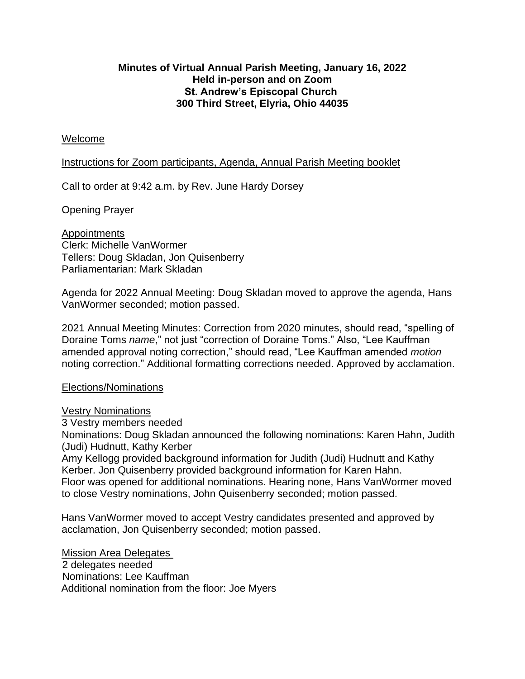# **Minutes of Virtual Annual Parish Meeting, January 16, 2022 Held in-person and on Zoom St. Andrew's Episcopal Church 300 Third Street, Elyria, Ohio 44035**

## Welcome

### Instructions for Zoom participants, Agenda, Annual Parish Meeting booklet

Call to order at 9:42 a.m. by Rev. June Hardy Dorsey

Opening Prayer

**Appointments** Clerk: Michelle VanWormer Tellers: Doug Skladan, Jon Quisenberry Parliamentarian: Mark Skladan

Agenda for 2022 Annual Meeting: Doug Skladan moved to approve the agenda, Hans VanWormer seconded; motion passed.

2021 Annual Meeting Minutes: Correction from 2020 minutes, should read, "spelling of Doraine Toms *name*," not just "correction of Doraine Toms." Also, "Lee Kauffman amended approval noting correction," should read, "Lee Kauffman amended *motion* noting correction." Additional formatting corrections needed. Approved by acclamation.

### Elections/Nominations

### Vestry Nominations

3 Vestry members needed

Nominations: Doug Skladan announced the following nominations: Karen Hahn, Judith (Judi) Hudnutt, Kathy Kerber

Amy Kellogg provided background information for Judith (Judi) Hudnutt and Kathy Kerber. Jon Quisenberry provided background information for Karen Hahn. Floor was opened for additional nominations. Hearing none, Hans VanWormer moved to close Vestry nominations, John Quisenberry seconded; motion passed.

Hans VanWormer moved to accept Vestry candidates presented and approved by acclamation, Jon Quisenberry seconded; motion passed.

Mission Area Delegates 2 delegates needed Nominations: Lee Kauffman Additional nomination from the floor: Joe Myers